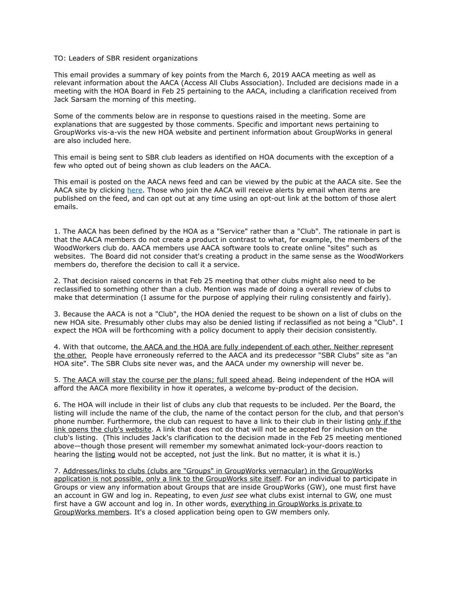## TO: Leaders of SBR resident organizations

This email provides a summary of key points from the March 6, 2019 AACA meeting as well as relevant information about the AACA (Access All Clubs Association). Included are decisions made in a meeting with the HOA Board in Feb 25 pertaining to the AACA, including a clarification received from Jack Sarsam the morning of this meeting.

Some of the comments below are in response to questions raised in the meeting. Some are explanations that are suggested by those comments. Specific and important news pertaining to GroupWorks vis-a-vis the new HOA website and pertinent information about GroupWorks in general are also included here.

This email is being sent to SBR club leaders as identified on HOA documents with the exception of a few who opted out of being shown as club leaders on the AACA.

This email is posted on the AACA news feed and can be viewed by the pubic at the AACA site. See the AACA site by clicking [here](http://saddlebrookeranch.org/). Those who join the AACA will receive alerts by email when items are published on the feed, and can opt out at any time using an opt-out link at the bottom of those alert emails.

1. The AACA has been defined by the HOA as a "Service" rather than a "Club". The rationale in part is that the AACA members do not create a product in contrast to what, for example, the members of the WoodWorkers club do. AACA members use AACA software tools to create online "sites" such as websites. The Board did not consider that's creating a product in the same sense as the WoodWorkers members do, therefore the decision to call it a service.

2. That decision raised concerns in that Feb 25 meeting that other clubs might also need to be reclassified to something other than a club. Mention was made of doing a overall review of clubs to make that determination (I assume for the purpose of applying their ruling consistently and fairly).

3. Because the AACA is not a "Club", the HOA denied the request to be shown on a list of clubs on the new HOA site. Presumably other clubs may also be denied listing if reclassified as not being a "Club". I expect the HOA will be forthcoming with a policy document to apply their decision consistently.

4. With that outcome, the AACA and the HOA are fully independent of each other. Neither represent the other. People have erroneously referred to the AACA and its predecessor "SBR Clubs" site as "an HOA site". The SBR Clubs site never was, and the AACA under my ownership will never be.

5. The AACA will stay the course per the plans; full speed ahead. Being independent of the HOA will afford the AACA more flexibility in how it operates, a welcome by-product of the decision.

6. The HOA will include in their list of clubs any club that requests to be included. Per the Board, the listing will include the name of the club, the name of the contact person for the club, and that person's phone number. Furthermore, the club can request to have a link to their club in their listing only if the link opens the club's website. A link that does not do that will not be accepted for inclusion on the club's listing. (This includes Jack's clarification to the decision made in the Feb 25 meeting mentioned above—though those present will remember my somewhat animated lock-your-doors reaction to hearing the listing would not be accepted, not just the link. But no matter, it is what it is.)

7. Addresses/links to clubs (clubs are "Groups" in GroupWorks vernacular) in the GroupWorks application is not possible, only a link to the GroupWorks site itself. For an individual to participate in Groups or view any information about Groups that are inside GroupWorks (GW), one must first have an account in GW and log in. Repeating, to even *just see* what clubs exist internal to GW, one must first have a GW account and log in. In other words, everything in GroupWorks is private to GroupWorks members. It's a closed application being open to GW members only.